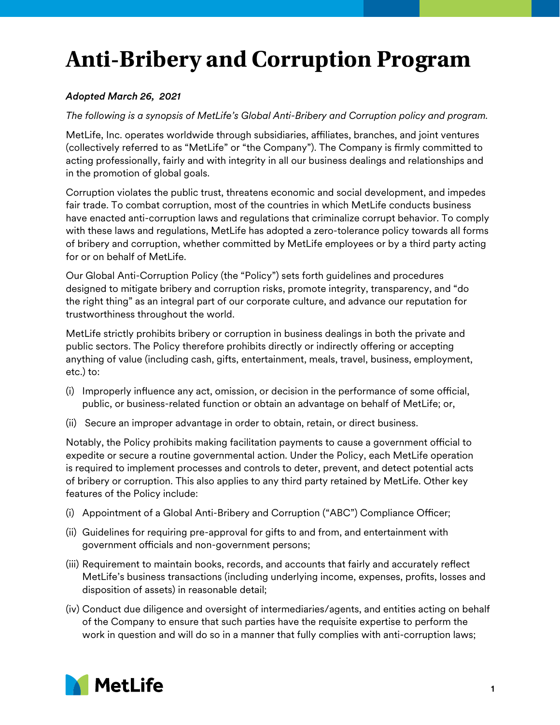## **Anti-Bribery and Corruption Program**

## *Adopted March 26, 2021*

*The following is a synopsis of MetLife's Global Anti-Bribery and Corruption policy and program.* 

MetLife, Inc. operates worldwide through subsidiaries, affiliates, branches, and joint ventures (collectively referred to as "MetLife" or "the Company"). The Company is firmly committed to acting professionally, fairly and with integrity in all our business dealings and relationships and in the promotion of global goals.

Corruption violates the public trust, threatens economic and social development, and impedes fair trade. To combat corruption, most of the countries in which MetLife conducts business have enacted anti-corruption laws and regulations that criminalize corrupt behavior. To comply with these laws and regulations, MetLife has adopted a zero-tolerance policy towards all forms of bribery and corruption, whether committed by MetLife employees or by a third party acting for or on behalf of MetLife.

Our Global Anti-Corruption Policy (the "Policy") sets forth guidelines and procedures designed to mitigate bribery and corruption risks, promote integrity, transparency, and "do the right thing" as an integral part of our corporate culture, and advance our reputation for trustworthiness throughout the world.

MetLife strictly prohibits bribery or corruption in business dealings in both the private and public sectors. The Policy therefore prohibits directly or indirectly offering or accepting anything of value (including cash, gifts, entertainment, meals, travel, business, employment, etc.) to:

- (i) Improperly influence any act, omission, or decision in the performance of some official, public, or business-related function or obtain an advantage on behalf of MetLife; or,
- (ii) Secure an improper advantage in order to obtain, retain, or direct business.

Notably, the Policy prohibits making facilitation payments to cause a government official to expedite or secure a routine governmental action. Under the Policy, each MetLife operation is required to implement processes and controls to deter, prevent, and detect potential acts of bribery or corruption. This also applies to any third party retained by MetLife. Other key features of the Policy include:

- (i) Appointment of a Global Anti-Bribery and Corruption ("ABC") Compliance Officer;
- (ii) Guidelines for requiring pre-approval for gifts to and from, and entertainment with government officials and non-government persons;
- (iii) Requirement to maintain books, records, and accounts that fairly and accurately reflect MetLife's business transactions (including underlying income, expenses, profits, losses and disposition of assets) in reasonable detail;
- (iv) Conduct due diligence and oversight of intermediaries/agents, and entities acting on behalf of the Company to ensure that such parties have the requisite expertise to perform the work in question and will do so in a manner that fully complies with anti-corruption laws;